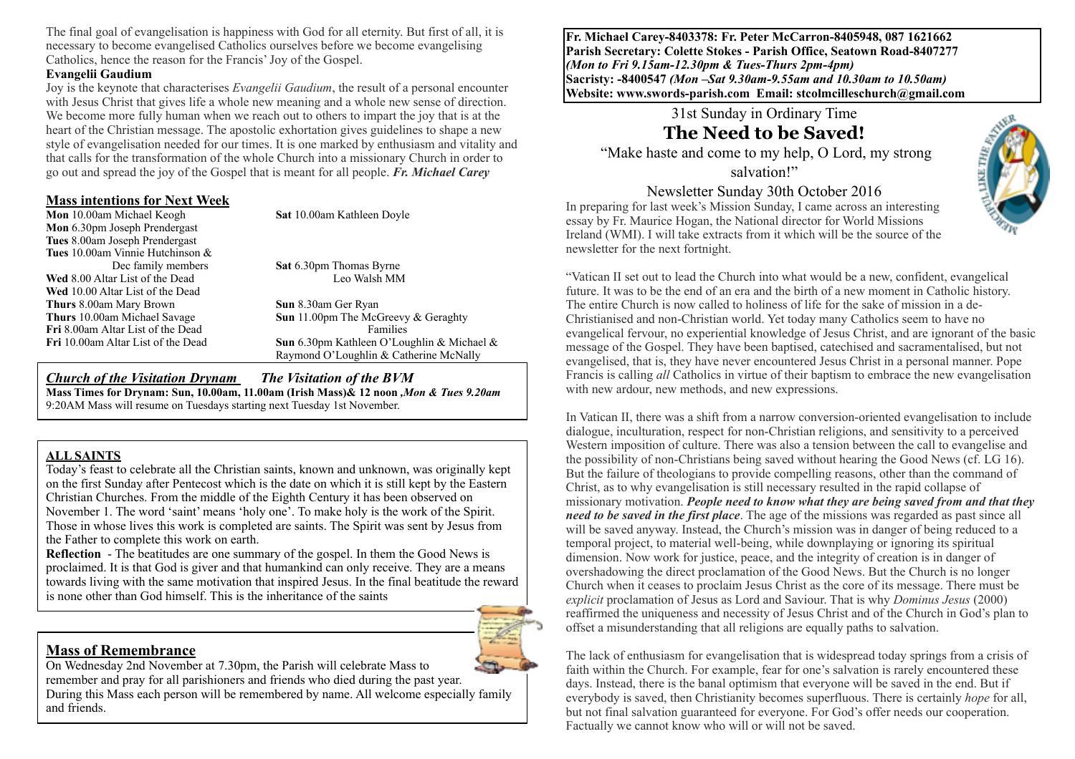The final goal of evangelisation is happiness with God for all eternity. But first of all, it is necessary to become evangelised Catholics ourselves before we become evangelising Catholics, hence the reason for the Francis' Joy of the Gospel.

#### **Evangelii Gaudium**

Joy is the keynote that characterises *Evangelii Gaudium*, the result of a personal encounter with Jesus Christ that gives life a whole new meaning and a whole new sense of direction. We become more fully human when we reach out to others to impart the joy that is at the heart of the Christian message. The apostolic exhortation gives guidelines to shape a new style of evangelisation needed for our times. It is one marked by enthusiasm and vitality and that calls for the transformation of the whole Church into a missionary Church in order to go out and spread the joy of the Gospel that is meant for all people. *Fr. Michael Carey*

#### **Mass intentions for Next Week**

**Mon** 10.00am Michael Keogh **Sat** 10.00am Kathleen Doyle

**Mon** 6.30pm Joseph Prendergast **Tues** 8.00am Joseph Prendergast **Tues** 10.00am Vinnie Hutchinson & Dec family members **Sat** 6.30pm Thomas Byrne **Wed** 8.00 Altar List of the Dead Leo Walsh MM **Wed** 10.00 Altar List of the Dead **Thurs** 8.00am Mary Brown **Sun** 8.30am Ger Ryan **Fri** 8.00am Altar List of the Dead Families

**Thurs** 10.00am Michael Savage **Sun** 11.00pm The McGreevy & Geraghty **Fri** 10.00am Altar List of the Dead **Sun** 6.30pm Kathleen O'Loughlin & Michael & Raymond O'Loughlin & Catherine McNally

*Church of the Visitation Drynam**The Visitation of the BVM* **Mass Times for Drynam: Sun, 10.00am, 11.00am (Irish Mass)& 12 noon** *,Mon & Tues 9.20am*  9:20AM Mass will resume on Tuesdays starting next Tuesday 1st November.

#### **ALL SAINTS**

Today's feast to celebrate all the Christian saints, known and unknown, was originally kept on the first Sunday after Pentecost which is the date on which it is still kept by the Eastern Christian Churches. From the middle of the Eighth Century it has been observed on November 1. The word 'saint' means 'holy one'. To make holy is the work of the Spirit. Those in whose lives this work is completed are saints. The Spirit was sent by Jesus from the Father to complete this work on earth.

**Reflection** - The beatitudes are one summary of the gospel. In them the Good News is proclaimed. It is that God is giver and that humankind can only receive. They are a means towards living with the same motivation that inspired Jesus. In the final beatitude the reward is none other than God himself. This is the inheritance of the saints

### **Mass of Remembrance**

On Wednesday 2nd November at 7.30pm, the Parish will celebrate Mass to remember and pray for all parishioners and friends who died during the past year. During this Mass each person will be remembered by name. All welcome especially family and friends.

**Fr. Michael Carey-8403378: Fr. Peter McCarron-8405948, 087 1621662 Parish Secretary: Colette Stokes - Parish Office, Seatown Road-8407277**  *(Mon to Fri 9.15am-12.30pm & Tues-Thurs 2pm-4pm)*  **Sacristy: -8400547** *(Mon –Sat 9.30am-9.55am and 10.30am to 10.50am)* **Website: [www.swords-parish.com Email:](http://www.swords-parish.com%20%20email) stcolmcilleschurch@gmail.com**

> 31st Sunday in Ordinary Time **The Need to be Saved!**

 "Make haste and come to my help, O Lord, my strong salvation!"

# Newsletter Sunday 30th October 2016

In preparing for last week's Mission Sunday, I came across an interesting essay by Fr. Maurice Hogan, the National director for World Missions Ireland (WMI). I will take extracts from it which will be the source of the newsletter for the next fortnight.



"Vatican II set out to lead the Church into what would be a new, confident, evangelical future. It was to be the end of an era and the birth of a new moment in Catholic history. The entire Church is now called to holiness of life for the sake of mission in a de-Christianised and non-Christian world. Yet today many Catholics seem to have no evangelical fervour, no experiential knowledge of Jesus Christ, and are ignorant of the basic message of the Gospel. They have been baptised, catechised and sacramentalised, but not evangelised, that is, they have never encountered Jesus Christ in a personal manner. Pope Francis is calling *all* Catholics in virtue of their baptism to embrace the new evangelisation with new ardour, new methods, and new expressions.

In Vatican II, there was a shift from a narrow conversion-oriented evangelisation to include dialogue, inculturation, respect for non-Christian religions, and sensitivity to a perceived Western imposition of culture. There was also a tension between the call to evangelise and the possibility of non-Christians being saved without hearing the Good News (cf. LG 16). But the failure of theologians to provide compelling reasons, other than the command of Christ, as to why evangelisation is still necessary resulted in the rapid collapse of missionary motivation. *People need to know what they are being saved from and that they need to be saved in the first place*. The age of the missions was regarded as past since all will be saved anyway. Instead, the Church's mission was in danger of being reduced to a temporal project, to material well-being, while downplaying or ignoring its spiritual dimension. Now work for justice, peace, and the integrity of creation is in danger of overshadowing the direct proclamation of the Good News. But the Church is no longer Church when it ceases to proclaim Jesus Christ as the core of its message. There must be *explicit* proclamation of Jesus as Lord and Saviour. That is why *Dominus Jesus* (2000) reaffirmed the uniqueness and necessity of Jesus Christ and of the Church in God's plan to offset a misunderstanding that all religions are equally paths to salvation.

The lack of enthusiasm for evangelisation that is widespread today springs from a crisis of faith within the Church. For example, fear for one's salvation is rarely encountered these days. Instead, there is the banal optimism that everyone will be saved in the end. But if everybody is saved, then Christianity becomes superfluous. There is certainly *hope* for all, but not final salvation guaranteed for everyone. For God's offer needs our cooperation. Factually we cannot know who will or will not be saved.